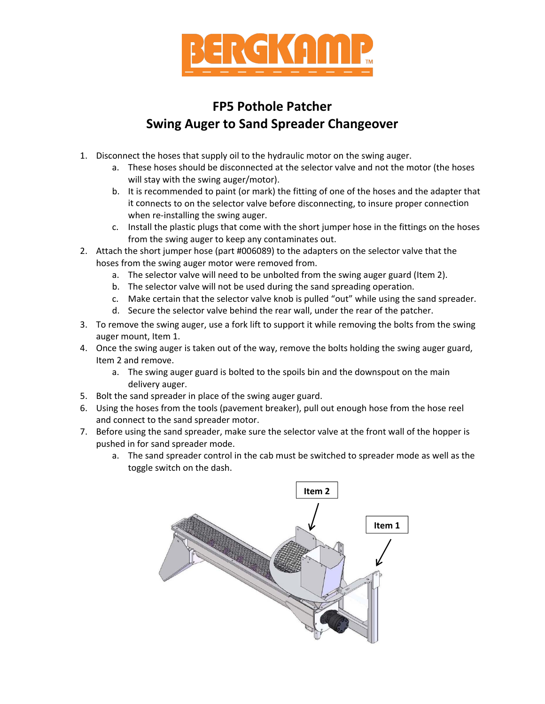

## **FP5 Pothole Patcher Swing Auger to Sand Spreader Changeover**

- 1. Disconnect the hoses that supply oil to the hydraulic motor on the swing auger.
	- a. These hoses should be disconnected at the selector valve and not the motor (the hoses will stay with the swing auger/motor).
	- b. It is recommended to paint (or mark) the fitting of one of the hoses and the adapter that it connects to on the selector valve before disconnecting, to insure proper connection when re-installing the swing auger.
	- c. Install the plastic plugs that come with the short jumper hose in the fittings on the hoses from the swing auger to keep any contaminates out.
- 2. Attach the short jumper hose (part #006089) to the adapters on the selector valve that the hoses from the swing auger motor were removed from.
	- a. The selector valve will need to be unbolted from the swing auger guard (Item 2).
	- b. The selector valve will not be used during the sand spreading operation.
	- c. Make certain that the selector valve knob is pulled "out" while using the sand spreader.
	- d. Secure the selector valve behind the rear wall, under the rear of the patcher.
- 3. To remove the swing auger, use a fork lift to support it while removing the bolts from the swing auger mount, Item 1.
- 4. Once the swing auger is taken out of the way, remove the bolts holding the swing auger guard, Item 2 and remove.
	- a. The swing auger guard is bolted to the spoils bin and the downspout on the main delivery auger.
- 5. Bolt the sand spreader in place of the swing auger guard.
- 6. Using the hoses from the tools (pavement breaker), pull out enough hose from the hose reel and connect to the sand spreader motor.
- 7. Before using the sand spreader, make sure the selector valve at the front wall of the hopper is pushed in for sand spreader mode.
	- a. The sand spreader control in the cab must be switched to spreader mode as well as the toggle switch on the dash.